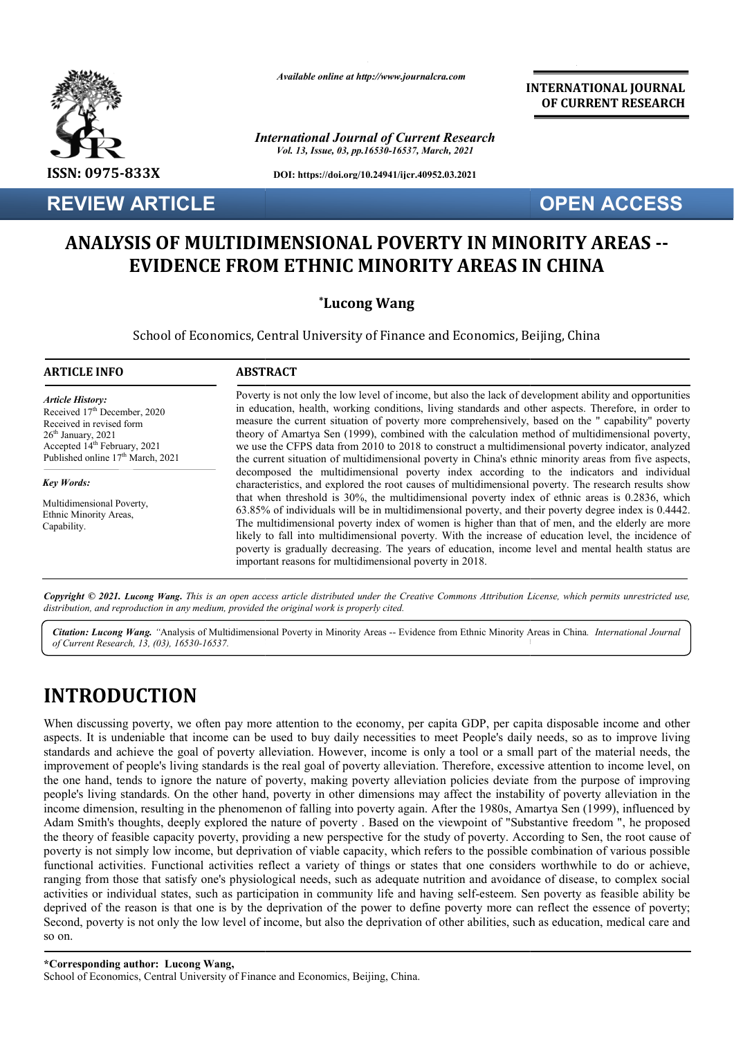

## **ANALYSIS OF MULTIDIMENSIONAL POVERTY IN MINORITY AREAS MINORITY AREAS -- EVIDENCE FROM ETHNIC MINORITY AREAS IN CHINA**

### **\*Lucong Wang**

|                                                                                                                                                                                                                    | Available online at http://www.journalcra.com                                                                                                                                                                                                                                                                                                                                                                                                                                                                                                                                                                                                                                                                                                                                            | <b>INTERNATIONAL JOURNAL</b><br>OF CURRENT RESEARCH |  |  |
|--------------------------------------------------------------------------------------------------------------------------------------------------------------------------------------------------------------------|------------------------------------------------------------------------------------------------------------------------------------------------------------------------------------------------------------------------------------------------------------------------------------------------------------------------------------------------------------------------------------------------------------------------------------------------------------------------------------------------------------------------------------------------------------------------------------------------------------------------------------------------------------------------------------------------------------------------------------------------------------------------------------------|-----------------------------------------------------|--|--|
|                                                                                                                                                                                                                    | <b>International Journal of Current Research</b><br>Vol. 13, Issue, 03, pp.16530-16537, March, 2021                                                                                                                                                                                                                                                                                                                                                                                                                                                                                                                                                                                                                                                                                      |                                                     |  |  |
| ISSN: 0975-833X                                                                                                                                                                                                    | DOI: https://doi.org/10.24941/ijcr.40952.03.2021                                                                                                                                                                                                                                                                                                                                                                                                                                                                                                                                                                                                                                                                                                                                         |                                                     |  |  |
| <b>REVIEW ARTICLE</b>                                                                                                                                                                                              |                                                                                                                                                                                                                                                                                                                                                                                                                                                                                                                                                                                                                                                                                                                                                                                          | <b>OPEN ACCESS</b>                                  |  |  |
|                                                                                                                                                                                                                    | <b>ANALYSIS OF MULTIDIMENSIONAL POVERTY IN MINORITY AREAS --</b><br><b>EVIDENCE FROM ETHNIC MINORITY AREAS IN CHINA</b><br><i>*Lucong Wang</i><br>School of Economics, Central University of Finance and Economics, Beijing, China                                                                                                                                                                                                                                                                                                                                                                                                                                                                                                                                                       |                                                     |  |  |
| <b>ARTICLE INFO</b>                                                                                                                                                                                                | <b>ABSTRACT</b>                                                                                                                                                                                                                                                                                                                                                                                                                                                                                                                                                                                                                                                                                                                                                                          |                                                     |  |  |
| <b>Article History:</b><br>Received 17th December, 2020<br>Received in revised form<br>26 <sup>th</sup> January, 2021<br>Accepted 14 <sup>th</sup> February, 2021<br>Published online 17 <sup>th</sup> March, 2021 | Poverty is not only the low level of income, but also the lack of development ability and opportunities<br>in education, health, working conditions, living standards and other aspects. Therefore, in order to<br>measure the current situation of poverty more comprehensively, based on the " capability" poverty<br>theory of Amartya Sen (1999), combined with the calculation method of multidimensional poverty,<br>we use the CFPS data from 2010 to 2018 to construct a multidimensional poverty indicator, analyzed<br>the current situation of multidimensional poverty in China's ethnic minority areas from five aspects,                                                                                                                                                   |                                                     |  |  |
| <b>Key Words:</b><br>Multidimensional Poverty,<br>Ethnic Minority Areas,<br>Capability.                                                                                                                            | decomposed the multidimensional poverty index according to the indicators and individual<br>characteristics, and explored the root causes of multidimensional poverty. The research results show<br>that when threshold is 30%, the multidimensional poverty index of ethnic areas is 0.2836, which<br>63.85% of individuals will be in multidimensional poverty, and their poverty degree index is 0.4442.<br>The multidimensional poverty index of women is higher than that of men, and the elderly are more<br>likely to fall into multidimensional poverty. With the increase of education level, the incidence of<br>poverty is gradually decreasing. The years of education, income level and mental health status are<br>important reasons for multidimensional poverty in 2018. |                                                     |  |  |
|                                                                                                                                                                                                                    | Copyright © 2021. Lucong Wang. This is an open access article distributed under the Creative Commons Attribution License, which permits unrestricted use,<br>distribution, and reproduction in any medium, provided the original work is properly cited.<br>Citation: Lucong Wang. "Analysis of Multidimensional Poverty in Minority Areas -- Evidence from Ethnic Minority Areas in China. International Journal                                                                                                                                                                                                                                                                                                                                                                        |                                                     |  |  |

Citation: Lucong Wang. "Analysis of Multidimensional Poverty in Minority Areas -- Evidence from Ethnic Minority Areas in China. *International Journal* (*Current Research. 13. (03). 16530-16537. of Current Research, 13, (03), 16530-16537.*

# **INTRODUCTION**

When discussing poverty, we often pay more attention to the economy, per capita GDP, per capita disposable income and other aspects. It is undeniable that income can be used to buy daily necessities to meet People's daily needs, so as to improve living standards and achieve the goal of poverty alleviation. However, income is only a tool or a small part of the material needs, the When discussing poverty, we often pay more attention to the economy, per capita GDP, per capita disposable income and other aspects. It is undeniable that income can be used to buy daily necessities to meet People's daily the one hand, tends to ignore the nature of poverty, making poverty alleviation policies deviate from the purpose of improving people's living standards. On the other hand, poverty in other dimensions may affect the instability of poverty alleviation in the income dimension, resulting in the phenomenon of falling into poverty again. After the 1980s, Amartya Sen (1999), influenced by income dimension, resulting in the phenomenon of falling into poverty again. After the 1980s, Amartya Sen (1999), influenced by<br>Adam Smith's thoughts, deeply explored the nature of poverty . Based on the viewpoint of "Subs the theory of feasible capacity poverty, providing a new perspective for the study of poverty. According to Sen, the root cause of the theory of feasible capacity poverty, providing a new perspective for the study of poverty. According to Sen, the root cause of poverty is not simply low income, but deprivation of viable capacity, which refers to the p functional activities. Functional activities reflect a variety of things or states that one considers worthwhile to do or achieve, ranging from those that satisfy one's physiological needs, such as adequate nutrition and avoidance of disease, to complex social activities or individual states, such as participation in community life and having self self-esteem. Sen poverty as feasible ability be activities or individual states, such as participation in community life and having self-esteem. Sen poverty as feasible ability be<br>deprived of the reason is that one is by the deprivation of the power to define poverty mo Second, poverty is not only the low level of income, but also the deprivation of other abilities, such as education, medical care and so on.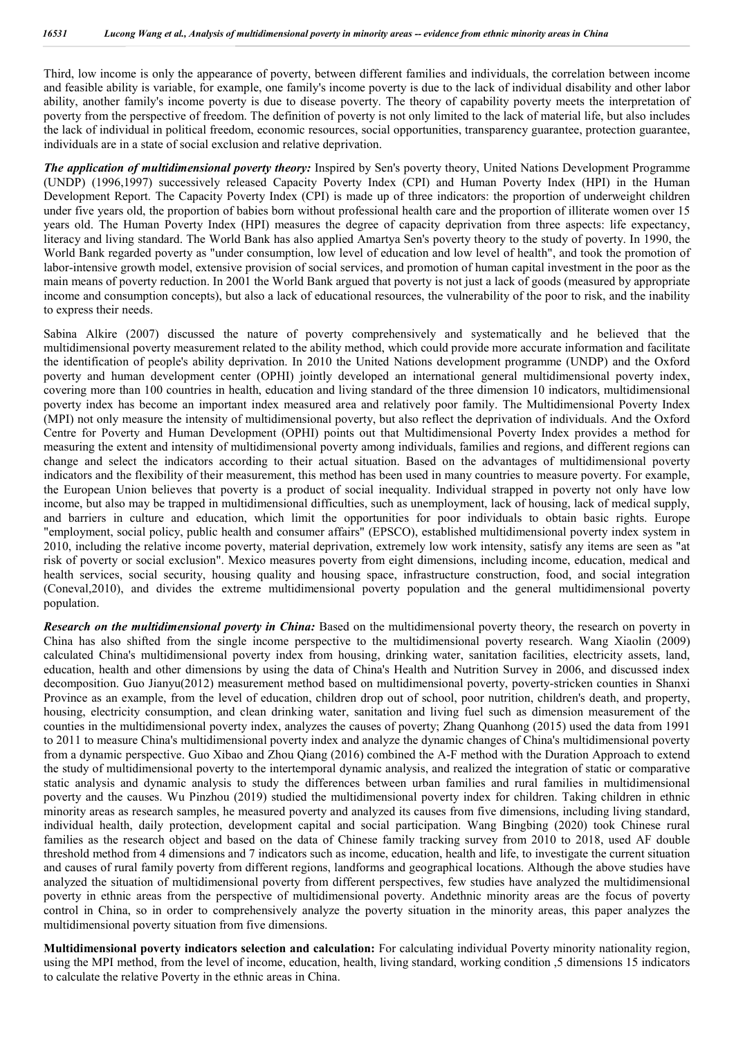Third, low income is only the appearance of poverty, between different families and individuals, the correlation between income and feasible ability is variable, for example, one family's income poverty is due to the lack of individual disability and other labor ability, another family's income poverty is due to disease poverty. The theory of capability poverty meets the interpretation of poverty from the perspective of freedom. The definition of poverty is not only limited to the lack of material life, but also includes the lack of individual in political freedom, economic resources, social opportunities, transparency guarantee, protection guarantee, individuals are in a state of social exclusion and relative deprivation.

*The application of multidimensional poverty theory:* Inspired by Sen's poverty theory, United Nations Development Programme (UNDP) (1996,1997) successively released Capacity Poverty Index (CPI) and Human Poverty Index (HPI) in the Human Development Report. The Capacity Poverty Index (CPI) is made up of three indicators: the proportion of underweight children under five years old, the proportion of babies born without professional health care and the proportion of illiterate women over 15 years old. The Human Poverty Index (HPI) measures the degree of capacity deprivation from three aspects: life expectancy, literacy and living standard. The World Bank has also applied Amartya Sen's poverty theory to the study of poverty. In 1990, the World Bank regarded poverty as "under consumption, low level of education and low level of health", and took the promotion of labor-intensive growth model, extensive provision of social services, and promotion of human capital investment in the poor as the main means of poverty reduction. In 2001 the World Bank argued that poverty is not just a lack of goods (measured by appropriate income and consumption concepts), but also a lack of educational resources, the vulnerability of the poor to risk, and the inability to express their needs.

Sabina Alkire (2007) discussed the nature of poverty comprehensively and systematically and he believed that the multidimensional poverty measurement related to the ability method, which could provide more accurate information and facilitate the identification of people's ability deprivation. In 2010 the United Nations development programme (UNDP) and the Oxford poverty and human development center (OPHI) jointly developed an international general multidimensional poverty index, covering more than 100 countries in health, education and living standard of the three dimension 10 indicators, multidimensional poverty index has become an important index measured area and relatively poor family. The Multidimensional Poverty Index (MPI) not only measure the intensity of multidimensional poverty, but also reflect the deprivation of individuals. And the Oxford Centre for Poverty and Human Development (OPHI) points out that Multidimensional Poverty Index provides a method for measuring the extent and intensity of multidimensional poverty among individuals, families and regions, and different regions can change and select the indicators according to their actual situation. Based on the advantages of multidimensional poverty indicators and the flexibility of their measurement, this method has been used in many countries to measure poverty. For example, the European Union believes that poverty is a product of social inequality. Individual strapped in poverty not only have low income, but also may be trapped in multidimensional difficulties, such as unemployment, lack of housing, lack of medical supply, and barriers in culture and education, which limit the opportunities for poor individuals to obtain basic rights. Europe "employment, social policy, public health and consumer affairs" (EPSCO), established multidimensional poverty index system in 2010, including the relative income poverty, material deprivation, extremely low work intensity, satisfy any items are seen as "at risk of poverty or social exclusion". Mexico measures poverty from eight dimensions, including income, education, medical and health services, social security, housing quality and housing space, infrastructure construction, food, and social integration (Coneval,2010), and divides the extreme multidimensional poverty population and the general multidimensional poverty population.

*Research on the multidimensional poverty in China:* Based on the multidimensional poverty theory, the research on poverty in China has also shifted from the single income perspective to the multidimensional poverty research. Wang Xiaolin (2009) calculated China's multidimensional poverty index from housing, drinking water, sanitation facilities, electricity assets, land, education, health and other dimensions by using the data of China's Health and Nutrition Survey in 2006, and discussed index decomposition. Guo Jianyu(2012) measurement method based on multidimensional poverty, poverty-stricken counties in Shanxi Province as an example, from the level of education, children drop out of school, poor nutrition, children's death, and property, housing, electricity consumption, and clean drinking water, sanitation and living fuel such as dimension measurement of the counties in the multidimensional poverty index, analyzes the causes of poverty; Zhang Quanhong (2015) used the data from 1991 to 2011 to measure China's multidimensional poverty index and analyze the dynamic changes of China's multidimensional poverty from a dynamic perspective. Guo Xibao and Zhou Qiang (2016) combined the A-F method with the Duration Approach to extend the study of multidimensional poverty to the intertemporal dynamic analysis, and realized the integration of static or comparative static analysis and dynamic analysis to study the differences between urban families and rural families in multidimensional poverty and the causes. Wu Pinzhou (2019) studied the multidimensional poverty index for children. Taking children in ethnic minority areas as research samples, he measured poverty and analyzed its causes from five dimensions, including living standard, individual health, daily protection, development capital and social participation. Wang Bingbing (2020) took Chinese rural families as the research object and based on the data of Chinese family tracking survey from 2010 to 2018, used AF double threshold method from 4 dimensions and 7 indicators such as income, education, health and life, to investigate the current situation and causes of rural family poverty from different regions, landforms and geographical locations. Although the above studies have analyzed the situation of multidimensional poverty from different perspectives, few studies have analyzed the multidimensional poverty in ethnic areas from the perspective of multidimensional poverty. Andethnic minority areas are the focus of poverty control in China, so in order to comprehensively analyze the poverty situation in the minority areas, this paper analyzes the multidimensional poverty situation from five dimensions.

**Multidimensional poverty indicators selection and calculation:** For calculating individual Poverty minority nationality region, using the MPI method, from the level of income, education, health, living standard, working condition ,5 dimensions 15 indicators to calculate the relative Poverty in the ethnic areas in China.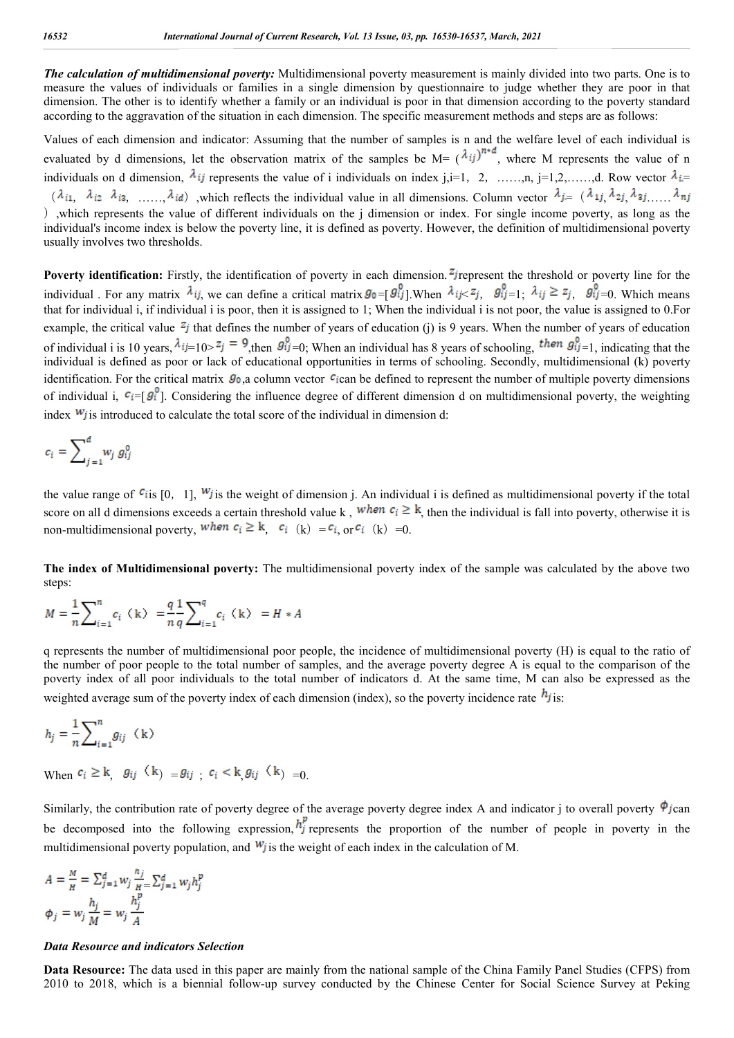*The calculation of multidimensional poverty:* Multidimensional poverty measurement is mainly divided into two parts. One is to measure the values of individuals or families in a single dimension by questionnaire to judge whether they are poor in that dimension. The other is to identify whether a family or an individual is poor in that dimension according to the poverty standard according to the aggravation of the situation in each dimension. The specific measurement methods and steps are as follows:

Values of each dimension and indicator: Assuming that the number of samples is n and the welfare level of each individual is evaluated by d dimensions, let the observation matrix of the samples be  $M = (\lambda_{ij})^{n+d}$ , where M represents the value of n individuals on d dimension,  $\lambda_{ij}$  represents the value of i individuals on index j,i=1, 2, ……,n, j=1,2,……,d. Row vector  $\lambda_{i}$ =  $(\lambda_{i1}, \lambda_{i2}, \lambda_{i3}, \ldots, \lambda_{id})$ , which reflects the individual value in all dimensions. Column vector  $\lambda_{j} = (\lambda_{1j}, \lambda_{2j}, \lambda_{3j}, \ldots, \lambda_{nj})$ ),which represents the value of different individuals on the j dimension or index. For single income poverty, as long as the individual's income index is below the poverty line, it is defined as poverty. However, the definition of multidimensional poverty usually involves two thresholds.

**Poverty identification:** Firstly, the identification of poverty in each dimension. <sup>*z*</sup> represent the threshold or poverty line for the individual . For any matrix  $\lambda_{ij}$ , we can define a critical matrix  $g_0 = [ g_{ij}^0]$ . When  $\lambda_{ij} \lt z_j$ ,  $g_{ij}^0 = 1$ :  $\lambda_{ij} \ge z_j$ ,  $g_{ij}^0 = 0$ . Which means that for individual i, if individual i is poor, then it is assigned to 1; When the individual i is not poor, the value is assigned to 0.For example, the critical value  $z_j$  that defines the number of years of education (j) is 9 years. When the number of years of education of individual i is 10 years,  $\lambda_{ij=10>} z_j = 9$ , then  $g_{ij=0}^0$ ; When an individual has 8 years of schooling, then  $g_{ij=1}^0$ , indicating that the individual is defined as poor or lack of educational opportunities in terms of schooling. Secondly, multidimensional (k) poverty identification. For the critical matrix  $g_0$ , a column vector  $c$ ican be defined to represent the number of multiple poverty dimensions of individual i,  $c_i = [g_i^0]$ . Considering the influence degree of different dimension d on multidimensional poverty, the weighting index  $W_j$  is introduced to calculate the total score of the individual in dimension d:

$$
c_i = \sum_{j=1}^d w_j g_{ij}^0
$$

the value range of  $\epsilon_{i}$  is [0, 1],  $W_{j}$  is the weight of dimension j. An individual i is defined as multidimensional poverty if the total score on all d dimensions exceeds a certain threshold value k, when  $c_i \ge k$ , then the individual is fall into poverty, otherwise it is non-multidimensional poverty, when  $c_i \ge k$ ,  $c_i$  (k) =  $c_i$ , or  $c_i$  (k) = 0.

**The index of Multidimensional poverty:** The multidimensional poverty index of the sample was calculated by the above two steps:

$$
M=\frac{1}{n}\sum\nolimits_{i=1}^n c_i \, \left\langle\, {\bf k}\,\right\rangle \ = \frac{q}{n} \frac{1}{q} \sum\nolimits_{i=1}^q c_i \, \left\langle\, {\bf k}\,\right\rangle \ = H\ast A
$$

q represents the number of multidimensional poor people, the incidence of multidimensional poverty (H) is equal to the ratio of the number of poor people to the total number of samples, and the average poverty degree A is equal to the comparison of the poverty index of all poor individuals to the total number of indicators d. At the same time, M can also be expressed as the weighted average sum of the poverty index of each dimension (index), so the poverty incidence rate  $h_j$  is:

$$
h_j=\frac{1}{n}{\sum}_{i=1}^ng_{ij}~~({\bf k})
$$

When  $c_i \ge k$   $g_{ij}$   $(k) = g_{ij}$   $c_i < k$   $g_{ij}$   $(k) = 0$ .

Similarly, the contribution rate of poverty degree of the average poverty degree index A and indicator j to overall poverty  $\phi_{j\text{can}}$ be decomposed into the following expression,  $h_j^p$  represents the proportion of the number of people in poverty in the multidimensional poverty population, and  $W_j$  is the weight of each index in the calculation of M.

$$
A = \frac{M}{H} = \sum_{j=1}^{d} w_j \frac{h_j}{H} \sum_{j=1}^{d} w_j h_j^p
$$
  

$$
\phi_j = w_j \frac{h_j}{M} = w_j \frac{h_j^p}{A}
$$

#### *Data Resource and indicators Selection*

**Data Resource:** The data used in this paper are mainly from the national sample of the China Family Panel Studies (CFPS) from 2010 to 2018, which is a biennial follow-up survey conducted by the Chinese Center for Social Science Survey at Peking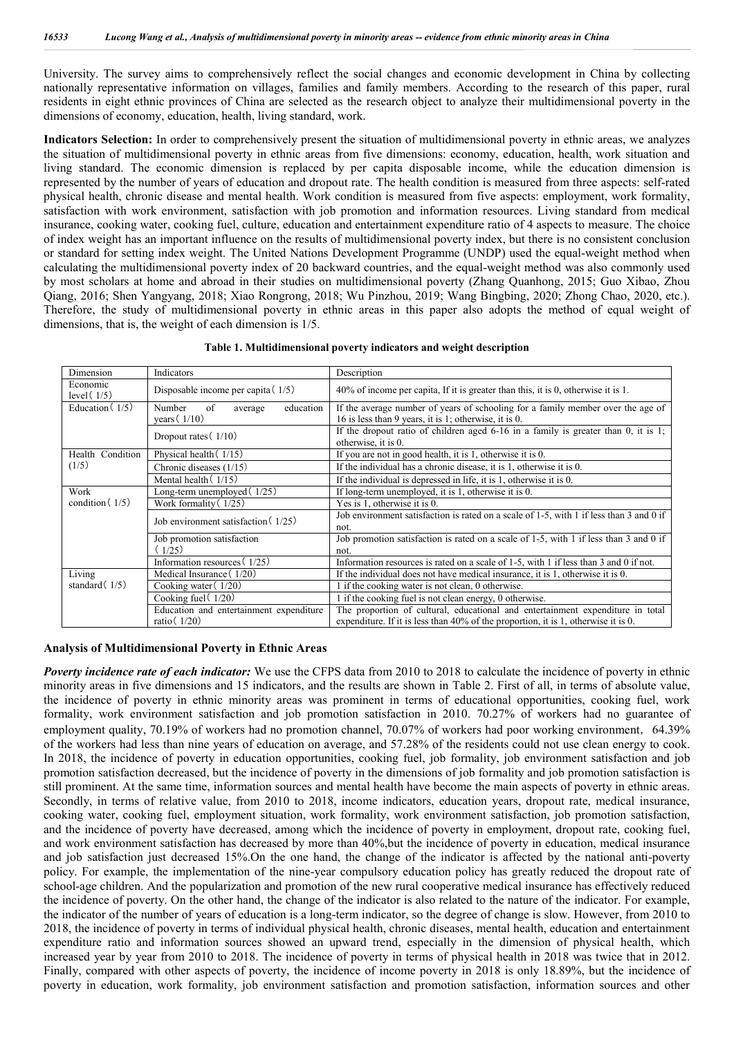University. The survey aims to comprehensively reflect the social changes and economic development in China by collecting nationally representative information on villages, families and family members. According to the research of this paper, rural residents in eight ethnic provinces of China are selected as the research object to analyze their multidimensional poverty in the dimensions of economy, education, health, living standard, work.

**Indicators Selection:** In order to comprehensively present the situation of multidimensional poverty in ethnic areas, we analyzes the situation of multidimensional poverty in ethnic areas from five dimensions: economy, education, health, work situation and living standard. The economic dimension is replaced by per capita disposable income, while the education dimension is represented by the number of years of education and dropout rate. The health condition is measured from three aspects: self-rated physical health, chronic disease and mental health. Work condition is measured from five aspects: employment, work formality, satisfaction with work environment, satisfaction with job promotion and information resources. Living standard from medical insurance, cooking water, cooking fuel, culture, education and entertainment expenditure ratio of 4 aspects to measure. The choice of index weight has an important influence on the results of multidimensional poverty index, but there is no consistent conclusion or standard for setting index weight. The United Nations Development Programme (UNDP) used the equal-weight method when calculating the multidimensional poverty index of 20 backward countries, and the equal-weight method was also commonly used by most scholars at home and abroad in their studies on multidimensional poverty (Zhang Quanhong, 2015; Guo Xibao, Zhou Qiang, 2016; Shen Yangyang, 2018; Xiao Rongrong, 2018; Wu Pinzhou, 2019; Wang Bingbing, 2020; Zhong Chao, 2020, etc.). Therefore, the study of multidimensional poverty in ethnic areas in this paper also adopts the method of equal weight of dimensions, that is, the weight of each dimension is 1/5.

| Dimension                 | Indicators                                             | Description                                                                                                                              |
|---------------------------|--------------------------------------------------------|------------------------------------------------------------------------------------------------------------------------------------------|
| Economic<br>level $(1/5)$ | Disposable income per capita $(1/5)$                   | $40\%$ of income per capita. If it is greater than this, it is 0, otherwise it is 1.                                                     |
| Education $(1/5)$         | Number<br>of<br>education<br>average<br>years $(1/10)$ | If the average number of years of schooling for a family member over the age of<br>16 is less than 9 years, it is 1; otherwise, it is 0. |
|                           | Dropout rates $(1/10)$                                 | If the dropout ratio of children aged $6-16$ in a family is greater than 0, it is 1;<br>otherwise, it is 0.                              |
| Health Condition          | Physical health (1/15)                                 | If you are not in good health, it is $1$ , otherwise it is $0$ .                                                                         |
| (1/5)                     | Chronic diseases (1/15)                                | If the individual has a chronic disease, it is $1$ , otherwise it is $0$ .                                                               |
|                           | Mental health $(1/15)$                                 | If the individual is depressed in life, it is $1$ , otherwise it is $0$ .                                                                |
| Work                      | Long-term unemployed (1/25)                            | If long-term unemployed, it is 1, otherwise it is 0.                                                                                     |
| condition $(1/5)$         | Work formality (1/25)                                  | Yes is 1, otherwise it is 0.                                                                                                             |
|                           | Job environment satisfaction (1/25)                    | Job environment satisfaction is rated on a scale of 1-5, with 1 if less than 3 and 0 if<br>not.                                          |
|                           | Job promotion satisfaction                             | Job promotion satisfaction is rated on a scale of 1-5, with 1 if less than 3 and 0 if                                                    |
|                           | (1/25)                                                 | not.                                                                                                                                     |
|                           | Information resources $(1/25)$                         | Information resources is rated on a scale of 1-5, with 1 if less than 3 and 0 if not.                                                    |
| Living                    | Medical Insurance (1/20)                               | If the individual does not have medical insurance, it is 1, otherwise it is 0.                                                           |
| standard $(1/5)$          | Cooking water (1/20)                                   | 1 if the cooking water is not clean, 0 otherwise.                                                                                        |
|                           | Cooking fuel (1/20)                                    | 1 if the cooking fuel is not clean energy, 0 otherwise.                                                                                  |
|                           | Education and entertainment expenditure                | The proportion of cultural, educational and entertainment expenditure in total                                                           |
|                           | ratio $(1/20)$                                         | expenditure. If it is less than $40\%$ of the proportion, it is 1, otherwise it is 0.                                                    |

|  |  |  | Table 1. Multidimensional poverty indicators and weight description |  |  |
|--|--|--|---------------------------------------------------------------------|--|--|
|--|--|--|---------------------------------------------------------------------|--|--|

#### **Analysis of Multidimensional Poverty in Ethnic Areas**

*Poverty incidence rate of each indicator:* We use the CFPS data from 2010 to 2018 to calculate the incidence of poverty in ethnic minority areas in five dimensions and 15 indicators, and the results are shown in Table 2. First of all, in terms of absolute value, the incidence of poverty in ethnic minority areas was prominent in terms of educational opportunities, cooking fuel, work formality, work environment satisfaction and job promotion satisfaction in 2010. 70.27% of workers had no guarantee of employment quality,  $70.19\%$  of workers had no promotion channel,  $70.07\%$  of workers had poor working environment, 64.39% of the workers had less than nine years of education on average, and 57.28% of the residents could not use clean energy to cook. In 2018, the incidence of poverty in education opportunities, cooking fuel, job formality, job environment satisfaction and job promotion satisfaction decreased, but the incidence of poverty in the dimensions of job formality and job promotion satisfaction is still prominent. At the same time, information sources and mental health have become the main aspects of poverty in ethnic areas. Secondly, in terms of relative value, from 2010 to 2018, income indicators, education years, dropout rate, medical insurance, cooking water, cooking fuel, employment situation, work formality, work environment satisfaction, job promotion satisfaction, and the incidence of poverty have decreased, among which the incidence of poverty in employment, dropout rate, cooking fuel, and work environment satisfaction has decreased by more than 40%,but the incidence of poverty in education, medical insurance and job satisfaction just decreased 15%.On the one hand, the change of the indicator is affected by the national anti-poverty policy. For example, the implementation of the nine-year compulsory education policy has greatly reduced the dropout rate of school-age children. And the popularization and promotion of the new rural cooperative medical insurance has effectively reduced the incidence of poverty. On the other hand, the change of the indicator is also related to the nature of the indicator. For example, the indicator of the number of years of education is a long-term indicator, so the degree of change is slow. However, from 2010 to 2018, the incidence of poverty in terms of individual physical health, chronic diseases, mental health, education and entertainment expenditure ratio and information sources showed an upward trend, especially in the dimension of physical health, which increased year by year from 2010 to 2018. The incidence of poverty in terms of physical health in 2018 was twice that in 2012. Finally, compared with other aspects of poverty, the incidence of income poverty in 2018 is only 18.89%, but the incidence of poverty in education, work formality, job environment satisfaction and promotion satisfaction, information sources and other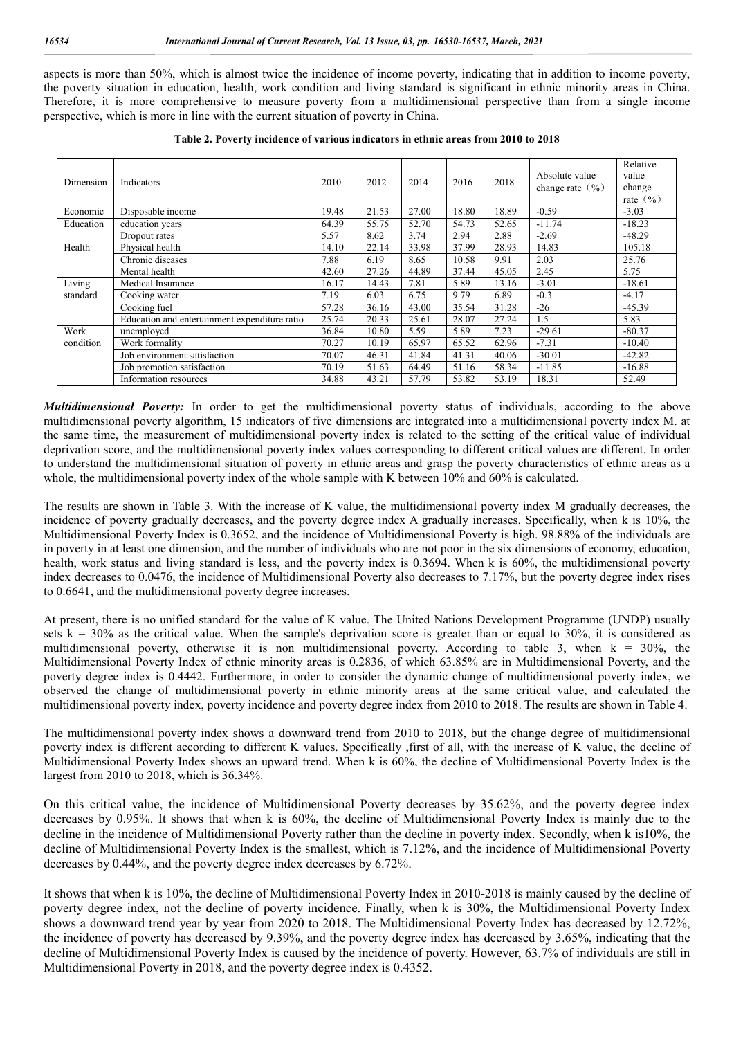aspects is more than 50%, which is almost twice the incidence of income poverty, indicating that in addition to income poverty, the poverty situation in education, health, work condition and living standard is significant in ethnic minority areas in China. Therefore, it is more comprehensive to measure poverty from a multidimensional perspective than from a single income perspective, which is more in line with the current situation of poverty in China.

| Dimension | Indicators                                    | 2010  | 2012  | 2014  | 2016  | 2018  | Absolute value<br>change rate $(\frac{9}{6})$ | Relative<br>value<br>change<br>rate $(\frac{9}{6})$ |
|-----------|-----------------------------------------------|-------|-------|-------|-------|-------|-----------------------------------------------|-----------------------------------------------------|
| Economic  | Disposable income                             | 19.48 | 21.53 | 27.00 | 18.80 | 18.89 | $-0.59$                                       | $-3.03$                                             |
| Education | education years                               | 64.39 | 55.75 | 52.70 | 54.73 | 52.65 | $-11.74$                                      | $-18.23$                                            |
|           | Dropout rates                                 | 5.57  | 8.62  | 3.74  | 2.94  | 2.88  | $-2.69$                                       | $-48.29$                                            |
| Health    | Physical health                               | 14.10 | 22.14 | 33.98 | 37.99 | 28.93 | 14.83                                         | 105.18                                              |
|           | Chronic diseases                              | 7.88  | 6.19  | 8.65  | 10.58 | 9.91  | 2.03                                          | 25.76                                               |
|           | Mental health                                 | 42.60 | 27.26 | 44.89 | 37.44 | 45.05 | 2.45                                          | 5.75                                                |
| Living    | Medical Insurance                             | 16.17 | 14.43 | 7.81  | 5.89  | 13.16 | $-3.01$                                       | $-18.61$                                            |
| standard  | Cooking water                                 | 7.19  | 6.03  | 6.75  | 9.79  | 6.89  | $-0.3$                                        | $-4.17$                                             |
|           | Cooking fuel                                  | 57.28 | 36.16 | 43.00 | 35.54 | 31.28 | $-26$                                         | $-45.39$                                            |
|           | Education and entertainment expenditure ratio | 25.74 | 20.33 | 25.61 | 28.07 | 27.24 | 1.5                                           | 5.83                                                |
| Work      | unemployed                                    | 36.84 | 10.80 | 5.59  | 5.89  | 7.23  | $-29.61$                                      | $-80.37$                                            |
| condition | Work formality                                | 70.27 | 10.19 | 65.97 | 65.52 | 62.96 | $-7.31$                                       | $-10.40$                                            |
|           | Job environment satisfaction                  | 70.07 | 46.31 | 41.84 | 41.31 | 40.06 | $-30.01$                                      | $-42.82$                                            |
|           | Job promotion satisfaction                    | 70.19 | 51.63 | 64.49 | 51.16 | 58.34 | $-11.85$                                      | $-16.88$                                            |
|           | Information resources                         | 34.88 | 43.21 | 57.79 | 53.82 | 53.19 | 18.31                                         | 52.49                                               |

**Table 2. Poverty incidence of various indicators in ethnic areas from 2010 to 2018**

*Multidimensional Poverty:* In order to get the multidimensional poverty status of individuals, according to the above multidimensional poverty algorithm, 15 indicators of five dimensions are integrated into a multidimensional poverty index M. at the same time, the measurement of multidimensional poverty index is related to the setting of the critical value of individual deprivation score, and the multidimensional poverty index values corresponding to different critical values are different. In order to understand the multidimensional situation of poverty in ethnic areas and grasp the poverty characteristics of ethnic areas as a whole, the multidimensional poverty index of the whole sample with K between 10% and 60% is calculated.

The results are shown in Table 3. With the increase of K value, the multidimensional poverty index M gradually decreases, the incidence of poverty gradually decreases, and the poverty degree index A gradually increases. Specifically, when k is 10%, the Multidimensional Poverty Index is 0.3652, and the incidence of Multidimensional Poverty is high. 98.88% of the individuals are in poverty in at least one dimension, and the number of individuals who are not poor in the six dimensions of economy, education, health, work status and living standard is less, and the poverty index is 0.3694. When k is 60%, the multidimensional poverty index decreases to 0.0476, the incidence of Multidimensional Poverty also decreases to 7.17%, but the poverty degree index rises to 0.6641, and the multidimensional poverty degree increases.

At present, there is no unified standard for the value of K value. The United Nations Development Programme (UNDP) usually sets  $k = 30\%$  as the critical value. When the sample's deprivation score is greater than or equal to 30%, it is considered as multidimensional poverty, otherwise it is non multidimensional poverty. According to table 3, when  $k = 30\%$ , the Multidimensional Poverty Index of ethnic minority areas is 0.2836, of which 63.85% are in Multidimensional Poverty, and the poverty degree index is 0.4442. Furthermore, in order to consider the dynamic change of multidimensional poverty index, we observed the change of multidimensional poverty in ethnic minority areas at the same critical value, and calculated the multidimensional poverty index, poverty incidence and poverty degree index from 2010 to 2018. The results are shown in Table 4.

The multidimensional poverty index shows a downward trend from 2010 to 2018, but the change degree of multidimensional poverty index is different according to different K values. Specifically ,first of all, with the increase of K value, the decline of Multidimensional Poverty Index shows an upward trend. When k is 60%, the decline of Multidimensional Poverty Index is the largest from 2010 to 2018, which is 36.34%.

On this critical value, the incidence of Multidimensional Poverty decreases by 35.62%, and the poverty degree index decreases by 0.95%. It shows that when k is 60%, the decline of Multidimensional Poverty Index is mainly due to the decline in the incidence of Multidimensional Poverty rather than the decline in poverty index. Secondly, when k is10%, the decline of Multidimensional Poverty Index is the smallest, which is 7.12%, and the incidence of Multidimensional Poverty decreases by 0.44%, and the poverty degree index decreases by 6.72%.

It shows that when k is 10%, the decline of Multidimensional Poverty Index in 2010-2018 is mainly caused by the decline of poverty degree index, not the decline of poverty incidence. Finally, when k is 30%, the Multidimensional Poverty Index shows a downward trend year by year from 2020 to 2018. The Multidimensional Poverty Index has decreased by 12.72%, the incidence of poverty has decreased by 9.39%, and the poverty degree index has decreased by 3.65%, indicating that the decline of Multidimensional Poverty Index is caused by the incidence of poverty. However, 63.7% of individuals are still in Multidimensional Poverty in 2018, and the poverty degree index is 0.4352.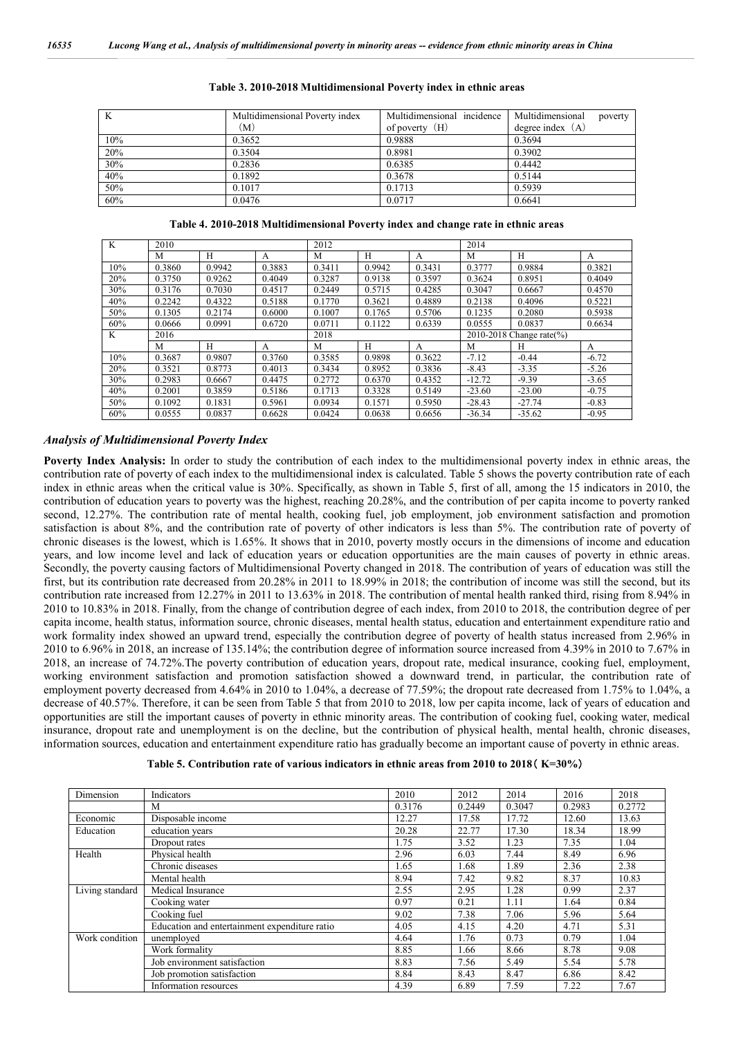| K   | Multidimensional Poverty index | Multidimensional incidence | Multidimensional<br>poverty |
|-----|--------------------------------|----------------------------|-----------------------------|
|     | (M)                            | of poverty $(H)$           | degree index $(A)$          |
| 10% | 0.3652                         | 0.9888                     | 0.3694                      |
| 20% | 0.3504                         | 0.8981                     | 0.3902                      |
| 30% | 0.2836                         | 0.6385                     | 0.4442                      |
| 40% | 0.1892                         | 0.3678                     | 0.5144                      |
| 50% | 0.1017                         | 0.1713                     | 0.5939                      |
| 60% | 0.0476                         | 0.0717                     | 0.6641                      |

|  |  |  | Table 4. 2010-2018 Multidimensional Poverty index and change rate in ethnic areas |  |
|--|--|--|-----------------------------------------------------------------------------------|--|
|  |  |  |                                                                                   |  |

| K   | 2010   |        |        | 2012   |        |              | 2014     |                               |         |  |
|-----|--------|--------|--------|--------|--------|--------------|----------|-------------------------------|---------|--|
|     | М      | H      | A      | M      | H      | A            | M        | H                             | A       |  |
| 10% | 0.3860 | 0.9942 | 0.3883 | 0.3411 | 0.9942 | 0.3431       | 0.3777   | 0.9884                        | 0.3821  |  |
| 20% | 0.3750 | 0.9262 | 0.4049 | 0.3287 | 0.9138 | 0.3597       | 0.3624   | 0.8951                        | 0.4049  |  |
| 30% | 0.3176 | 0.7030 | 0.4517 | 0.2449 | 0.5715 | 0.4285       | 0.3047   | 0.6667                        | 0.4570  |  |
| 40% | 0.2242 | 0.4322 | 0.5188 | 0.1770 | 0.3621 | 0.4889       | 0.2138   | 0.4096                        | 0.5221  |  |
| 50% | 0.1305 | 0.2174 | 0.6000 | 0.1007 | 0.1765 | 0.5706       | 0.1235   | 0.2080                        | 0.5938  |  |
| 60% | 0.0666 | 0.0991 | 0.6720 | 0.0711 | 0.1122 | 0.6339       | 0.0555   | 0.0837                        | 0.6634  |  |
|     | 2016   |        |        | 2018   |        |              |          |                               |         |  |
| K   |        |        |        |        |        |              |          | 2010-2018 Change rate $(\% )$ |         |  |
|     | M      | H      | A      | M      | H      | $\mathbf{A}$ | M        | H                             | A       |  |
| 10% | 0.3687 | 0.9807 | 0.3760 | 0.3585 | 0.9898 | 0.3622       | $-7.12$  | $-0.44$                       | $-6.72$ |  |
| 20% | 0.3521 | 0.8773 | 0.4013 | 0.3434 | 0.8952 | 0.3836       | $-8.43$  | $-3.35$                       | $-5.26$ |  |
| 30% | 0.2983 | 0.6667 | 0.4475 | 0.2772 | 0.6370 | 0.4352       | $-12.72$ | $-9.39$                       | $-3.65$ |  |
| 40% | 0.2001 | 0.3859 | 0.5186 | 0.1713 | 0.3328 | 0.5149       | $-23.60$ | $-23.00$                      | $-0.75$ |  |
| 50% | 0.1092 | 0.1831 | 0.5961 | 0.0934 | 0.1571 | 0.5950       | $-28.43$ | $-27.74$                      | $-0.83$ |  |

#### *Analysis of Multidimensional Poverty Index*

**Poverty Index Analysis:** In order to study the contribution of each index to the multidimensional poverty index in ethnic areas, the contribution rate of poverty of each index to the multidimensional index is calculated. Table 5 shows the poverty contribution rate of each index in ethnic areas when the critical value is 30%. Specifically, as shown in Table 5, first of all, among the 15 indicators in 2010, the contribution of education years to poverty was the highest, reaching 20.28%, and the contribution of per capita income to poverty ranked second, 12.27%. The contribution rate of mental health, cooking fuel, job employment, job environment satisfaction and promotion satisfaction is about 8%, and the contribution rate of poverty of other indicators is less than 5%. The contribution rate of poverty of chronic diseases is the lowest, which is 1.65%. It shows that in 2010, poverty mostly occurs in the dimensions of income and education years, and low income level and lack of education years or education opportunities are the main causes of poverty in ethnic areas. Secondly, the poverty causing factors of Multidimensional Poverty changed in 2018. The contribution of years of education was still the first, but its contribution rate decreased from 20.28% in 2011 to 18.99% in 2018; the contribution of income was still the second, but its contribution rate increased from 12.27% in 2011 to 13.63% in 2018. The contribution of mental health ranked third, rising from 8.94% in 2010 to 10.83% in 2018. Finally, from the change of contribution degree of each index, from 2010 to 2018, the contribution degree of per capita income, health status, information source, chronic diseases, mental health status, education and entertainment expenditure ratio and work formality index showed an upward trend, especially the contribution degree of poverty of health status increased from 2.96% in 2010 to 6.96% in 2018, an increase of 135.14%; the contribution degree of information source increased from 4.39% in 2010 to 7.67% in 2018, an increase of 74.72%.The poverty contribution of education years, dropout rate, medical insurance, cooking fuel, employment, working environment satisfaction and promotion satisfaction showed a downward trend, in particular, the contribution rate of employment poverty decreased from 4.64% in 2010 to 1.04%, a decrease of 77.59%; the dropout rate decreased from 1.75% to 1.04%, a decrease of 40.57%. Therefore, it can be seen from Table 5 that from 2010 to 2018, low per capita income, lack of years of education and opportunities are still the important causes of poverty in ethnic minority areas. The contribution of cooking fuel, cooking water, medical insurance, dropout rate and unemployment is on the decline, but the contribution of physical health, mental health, chronic diseases, information sources, education and entertainment expenditure ratio has gradually become an important cause of poverty in ethnic areas.

|  | Table 5. Contribution rate of various indicators in ethnic areas from 2010 to 2018 (K=30%) |  |  |  |  |  |
|--|--------------------------------------------------------------------------------------------|--|--|--|--|--|
|--|--------------------------------------------------------------------------------------------|--|--|--|--|--|

| Dimension       | Indicators                                    | 2010   | 2012   | 2014   | 2016   | 2018   |
|-----------------|-----------------------------------------------|--------|--------|--------|--------|--------|
|                 | M                                             | 0.3176 | 0.2449 | 0.3047 | 0.2983 | 0.2772 |
| Economic        | Disposable income                             | 12.27  | 17.58  | 17.72  | 12.60  | 13.63  |
| Education       | education years                               | 20.28  | 22.77  | 17.30  | 18.34  | 18.99  |
|                 | Dropout rates                                 | 1.75   | 3.52   | 1.23   | 7.35   | 1.04   |
| Health          | Physical health                               | 2.96   | 6.03   | 7.44   | 8.49   | 6.96   |
|                 | Chronic diseases                              | 1.65   | 1.68   | 1.89   | 2.36   | 2.38   |
|                 | Mental health                                 | 8.94   | 7.42   | 9.82   | 8.37   | 10.83  |
| Living standard | Medical Insurance                             | 2.55   | 2.95   | 1.28   | 0.99   | 2.37   |
|                 | Cooking water                                 | 0.97   | 0.21   | 1.11   | 1.64   | 0.84   |
|                 | Cooking fuel                                  | 9.02   | 7.38   | 7.06   | 5.96   | 5.64   |
|                 | Education and entertainment expenditure ratio | 4.05   | 4.15   | 4.20   | 4.71   | 5.31   |
| Work condition  | unemployed                                    | 4.64   | 1.76   | 0.73   | 0.79   | 1.04   |
|                 | Work formality                                | 8.85   | 1.66   | 8.66   | 8.78   | 9.08   |
|                 | Job environment satisfaction                  | 8.83   | 7.56   | 5.49   | 5.54   | 5.78   |
|                 | Job promotion satisfaction                    | 8.84   | 8.43   | 8.47   | 6.86   | 8.42   |
|                 | Information resources                         | 4.39   | 6.89   | 7.59   | 7.22   | 7.67   |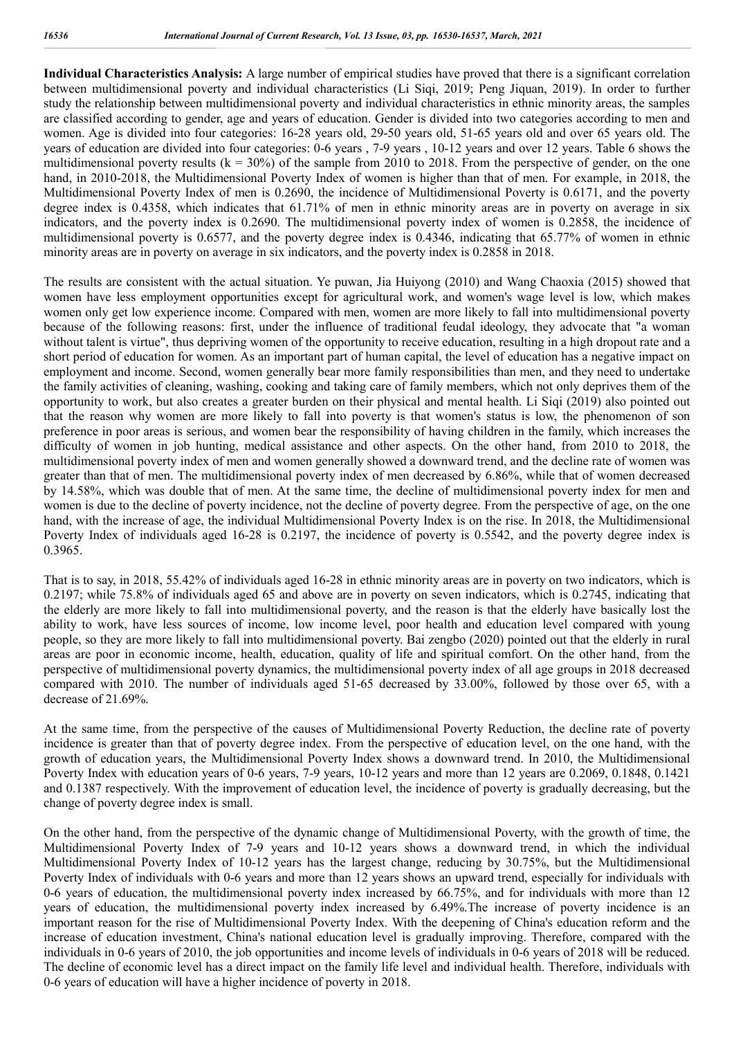**Individual Characteristics Analysis:** A large number of empirical studies have proved that there is a significant correlation between multidimensional poverty and individual characteristics (Li Siqi, 2019; Peng Jiquan, 2019). In order to further study the relationship between multidimensional poverty and individual characteristics in ethnic minority areas, the samples are classified according to gender, age and years of education. Gender is divided into two categories according to men and women. Age is divided into four categories: 16-28 years old, 29-50 years old, 51-65 years old and over 65 years old. The years of education are divided into four categories: 0-6 years , 7-9 years , 10-12 years and over 12 years. Table 6 shows the multidimensional poverty results  $(k = 30\%)$  of the sample from 2010 to 2018. From the perspective of gender, on the one hand, in 2010-2018, the Multidimensional Poverty Index of women is higher than that of men. For example, in 2018, the Multidimensional Poverty Index of men is 0.2690, the incidence of Multidimensional Poverty is 0.6171, and the poverty degree index is 0.4358, which indicates that 61.71% of men in ethnic minority areas are in poverty on average in six indicators, and the poverty index is 0.2690. The multidimensional poverty index of women is 0.2858, the incidence of multidimensional poverty is 0.6577, and the poverty degree index is 0.4346, indicating that 65.77% of women in ethnic minority areas are in poverty on average in six indicators, and the poverty index is 0.2858 in 2018.

The results are consistent with the actual situation. Ye puwan, Jia Huiyong (2010) and Wang Chaoxia (2015) showed that women have less employment opportunities except for agricultural work, and women's wage level is low, which makes women only get low experience income. Compared with men, women are more likely to fall into multidimensional poverty because of the following reasons: first, under the influence of traditional feudal ideology, they advocate that "a woman without talent is virtue", thus depriving women of the opportunity to receive education, resulting in a high dropout rate and a short period of education for women. As an important part of human capital, the level of education has a negative impact on employment and income. Second, women generally bear more family responsibilities than men, and they need to undertake the family activities of cleaning, washing, cooking and taking care of family members, which not only deprives them of the opportunity to work, but also creates a greater burden on their physical and mental health. Li Siqi (2019) also pointed out that the reason why women are more likely to fall into poverty is that women's status is low, the phenomenon of son preference in poor areas is serious, and women bear the responsibility of having children in the family, which increases the difficulty of women in job hunting, medical assistance and other aspects. On the other hand, from 2010 to 2018, the multidimensional poverty index of men and women generally showed a downward trend, and the decline rate of women was greater than that of men. The multidimensional poverty index of men decreased by 6.86%, while that of women decreased by 14.58%, which was double that of men. At the same time, the decline of multidimensional poverty index for men and women is due to the decline of poverty incidence, not the decline of poverty degree. From the perspective of age, on the one hand, with the increase of age, the individual Multidimensional Poverty Index is on the rise. In 2018, the Multidimensional Poverty Index of individuals aged 16-28 is 0.2197, the incidence of poverty is 0.5542, and the poverty degree index is 0.3965.

That is to say, in 2018, 55.42% of individuals aged 16-28 in ethnic minority areas are in poverty on two indicators, which is 0.2197; while 75.8% of individuals aged 65 and above are in poverty on seven indicators, which is 0.2745, indicating that the elderly are more likely to fall into multidimensional poverty, and the reason is that the elderly have basically lost the ability to work, have less sources of income, low income level, poor health and education level compared with young people, so they are more likely to fall into multidimensional poverty. Bai zengbo (2020) pointed out that the elderly in rural areas are poor in economic income, health, education, quality of life and spiritual comfort. On the other hand, from the perspective of multidimensional poverty dynamics, the multidimensional poverty index of all age groups in 2018 decreased compared with 2010. The number of individuals aged 51-65 decreased by 33.00%, followed by those over 65, with a decrease of 21.69%.

At the same time, from the perspective of the causes of Multidimensional Poverty Reduction, the decline rate of poverty incidence is greater than that of poverty degree index. From the perspective of education level, on the one hand, with the growth of education years, the Multidimensional Poverty Index shows a downward trend. In 2010, the Multidimensional Poverty Index with education years of 0-6 years, 7-9 years, 10-12 years and more than 12 years are 0.2069, 0.1848, 0.1421 and 0.1387 respectively. With the improvement of education level, the incidence of poverty is gradually decreasing, but the change of poverty degree index is small.

On the other hand, from the perspective of the dynamic change of Multidimensional Poverty, with the growth of time, the Multidimensional Poverty Index of 7-9 years and 10-12 years shows a downward trend, in which the individual Multidimensional Poverty Index of 10-12 years has the largest change, reducing by 30.75%, but the Multidimensional Poverty Index of individuals with 0-6 years and more than 12 years shows an upward trend, especially for individuals with 0-6 years of education, the multidimensional poverty index increased by 66.75%, and for individuals with more than 12 years of education, the multidimensional poverty index increased by 6.49%.The increase of poverty incidence is an important reason for the rise of Multidimensional Poverty Index. With the deepening of China's education reform and the increase of education investment, China's national education level is gradually improving. Therefore, compared with the individuals in 0-6 years of 2010, the job opportunities and income levels of individuals in 0-6 years of 2018 will be reduced. The decline of economic level has a direct impact on the family life level and individual health. Therefore, individuals with 0-6 years of education will have a higher incidence of poverty in 2018.